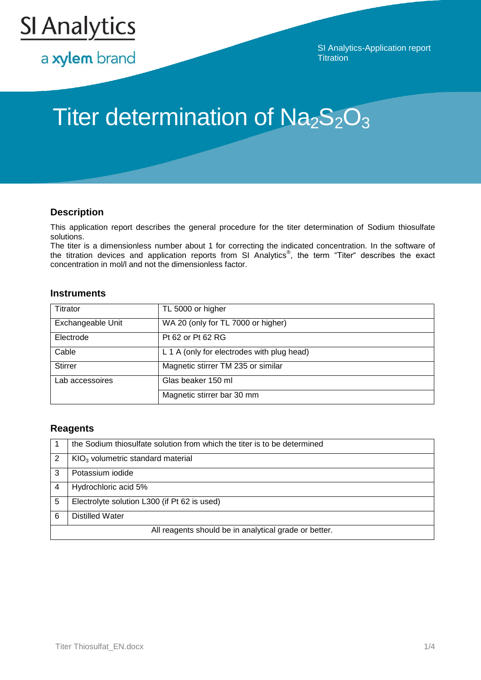

a xylem brand

SI Analytics-Application report **Titration** 

# Titer determination of  $Na<sub>2</sub>S<sub>2</sub>O<sub>3</sub>$

## **Description**

This application report describes the general procedure for the titer determination of Sodium thiosulfate solutions.

The titer is a dimensionless number about 1 for correcting the indicated concentration. In the software of the titration devices and application reports from SI Analytics<sup>®</sup>, the term "Titer" describes the exact concentration in mol/l and not the dimensionless factor.

## **Instruments**

| <b>Titrator</b>   | TL 5000 or higher                          |
|-------------------|--------------------------------------------|
| Exchangeable Unit | WA 20 (only for TL 7000 or higher)         |
| Electrode         | Pt 62 or Pt 62 RG                          |
| Cable             | L 1 A (only for electrodes with plug head) |
| <b>Stirrer</b>    | Magnetic stirrer TM 235 or similar         |
| Lab accessoires   | Glas beaker 150 ml                         |
|                   | Magnetic stirrer bar 30 mm                 |

## **Reagents**

|                                                       | the Sodium thiosulfate solution from which the titer is to be determined |  |
|-------------------------------------------------------|--------------------------------------------------------------------------|--|
|                                                       | $KIO3$ volumetric standard material                                      |  |
| 3                                                     | Potassium iodide                                                         |  |
|                                                       | Hydrochloric acid 5%                                                     |  |
| 5                                                     | Electrolyte solution L300 (if Pt 62 is used)                             |  |
| 6                                                     | <b>Distilled Water</b>                                                   |  |
| All reagents should be in analytical grade or better. |                                                                          |  |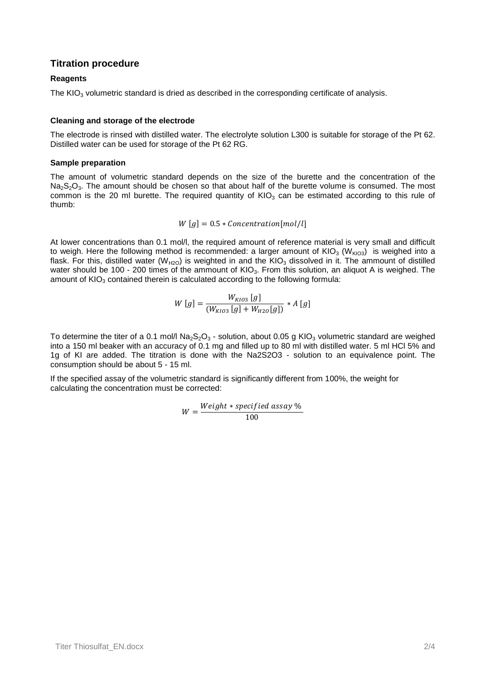## **Titration procedure**

#### **Reagents**

The KIO<sub>3</sub> volumetric standard is dried as described in the corresponding certificate of analysis.

#### **Cleaning and storage of the electrode**

The electrode is rinsed with distilled water. The electrolyte solution L300 is suitable for storage of the Pt 62. Distilled water can be used for storage of the Pt 62 RG.

#### **Sample preparation**

The amount of volumetric standard depends on the size of the burette and the concentration of the  $Na<sub>2</sub>S<sub>2</sub>O<sub>3</sub>$ . The amount should be chosen so that about half of the burette volume is consumed. The most common is the 20 ml burette. The required quantity of  $KIO<sub>3</sub>$  can be estimated according to this rule of thumb:

$$
W[g] = 0.5 * Concentration[mol/l]
$$

At lower concentrations than 0.1 mol/l, the required amount of reference material is very small and difficult to weigh. Here the following method is recommended: a larger amount of  $KIO<sub>3</sub> (W<sub>KIO3</sub>)$  is weighed into a flask. For this, distilled water ( $W_{H2O}$ ) is weighted in and the KIO<sub>3</sub> dissolved in it. The ammount of distilled water should be 100 - 200 times of the ammount of KIO<sub>3</sub>. From this solution, an aliquot A is weighed. The amount of  $KIO<sub>3</sub>$  contained therein is calculated according to the following formula:

$$
W[g] = \frac{W_{KIO3}[g]}{(W_{KIO3}[g] + W_{H2O}[g])} * A[g]
$$

To determine the titer of a 0.1 mol/l  $Na<sub>2</sub>S<sub>2</sub>O<sub>3</sub>$  - solution, about 0.05 g KIO<sub>3</sub> volumetric standard are weighed into a 150 ml beaker with an accuracy of 0.1 mg and filled up to 80 ml with distilled water. 5 ml HCl 5% and 1g of KI are added. The titration is done with the Na2S2O3 - solution to an equivalence point. The consumption should be about 5 - 15 ml.

If the specified assay of the volumetric standard is significantly different from 100%, the weight for calculating the concentration must be corrected:

$$
W = \frac{Weight * specified \; assay \; \%}{100}
$$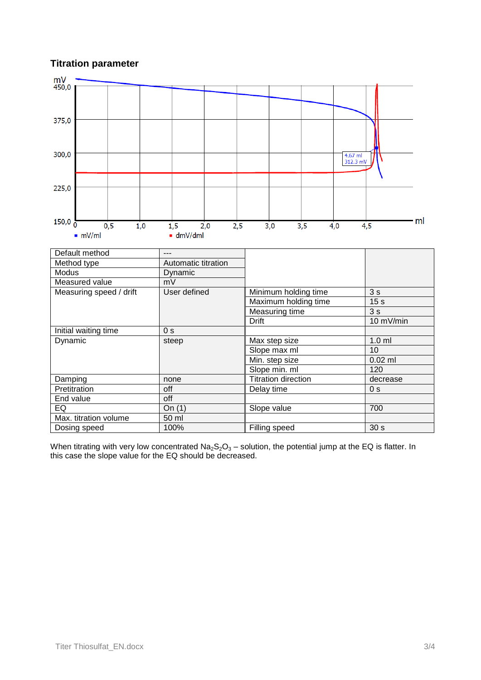# **Titration parameter**



When titrating with very low concentrated  $Na<sub>2</sub>S<sub>2</sub>O<sub>3</sub> -$  solution, the potential jump at the EQ is flatter. In this case the slope value for the EQ should be decreased.